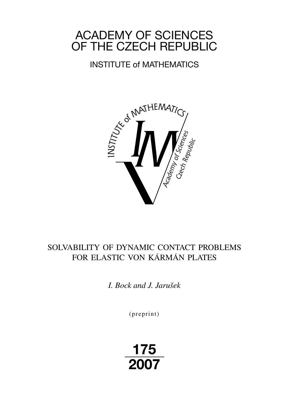# ACADEMY OF SCIENCES OF THE CZECH REPUBLIC

## INSTITUTE of MATHEMATICS



## SOLVABILITY OF DYNAMIC CONTACT PROBLEMS FOR ELASTIC VON KÁRMÁN PLATES

*I. Bock and J. Jarušek*

 $(p$  reprint $)$ 

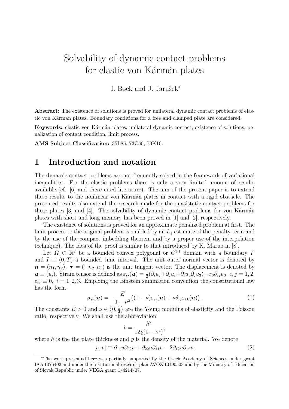## Solvability of dynamic contact problems for elastic von Kármán plates

I. Bock and J. Jarušek<sup>\*</sup>

Abstract: The existence of solutions is proved for unilateral dynamic contact problems of elastic von Kármán plates. Boundary conditions for a free and clamped plate are considered.

Keywords: elastic von Kármán plates, unilateral dynamic contact, existence of solutions, penalization of contact condition, limit process.

AMS Subject Classification: 35L85, 73C50, 73K10.

### 1 Introduction and notation

The dynamic contact problems are not frequently solved in the framework of variational inequalities. For the elastic problems there is only a very limited amount of results available (cf. [6] and there cited literature). The aim of the present paper is to extend these results to the nonlinear von Kármán plates in contact with a rigid obstacle. The presented results also extend the research made for the quasistatic contact problems for these plates  $[3]$  and  $[4]$ . The solvability of dynamic contact problems for von Kármán plates with short and long memory has been proved in [1] and [2], respectively.

The existence of solutions is proved for an approximate penalized problem at first. The limit process to the original problem is enabled by an  $L_1$  estimate of the penalty term and by the use of the compact imbedding theorem and by a proper use of the interpolation technique). The idea of the proof is similar to that introduced by K. Maruo in [8].

Let  $\Omega \subset \mathbb{R}^2$  be a bounded convex polygonal or  $C^{3,1}$  domain with a boundary  $\overline{\Lambda}$ and  $I \equiv (0, T)$  a bounded time interval. The unit outer normal vector is denoted by  $n = (n_1, n_2), \tau = (-n_2, n_1)$  is the unit tangent vector. The displacement is denoted by  $u \equiv (u_i)$ . Strain tensor is defined as  $\varepsilon_{ij}(u) = \frac{1}{2}(\partial_i u_j + \partial_j u_i + \partial_i u_3 \partial_j u_3) - x_3 \partial_{ij} u_3$ ,  $i, j = 1, 2$ ,  $\varepsilon_{i3} \equiv 0, i = 1, 2, 3$ . Emploing the Einstein summation convention the constitutional law has the form

$$
\sigma_{ij}(\boldsymbol{u}) = \frac{E}{1-\nu^2} \big( (1-\nu)\varepsilon_{ij}(\boldsymbol{u}) + \nu \delta_{ij}\varepsilon_{kk}(\boldsymbol{u}) \big). \tag{1}
$$

The constants  $E > 0$  and  $\nu \in \langle 0, \frac{1}{2} \rangle$  $\frac{1}{2}$  are the Young modulus of elasticity and the Poisson ratio, respectively. We shall use the abbreviation

$$
b = \frac{h^2}{12\varrho(1 - \nu^2)},
$$

where h is the the plate thickness and  $\rho$  is the density of the material. We denote

$$
[u, v] \equiv \partial_{11}u\partial_{22}v + \partial_{22}u\partial_{11}v - 2\partial_{12}u\partial_{12}v.
$$
 (2)

<sup>∗</sup>The work presented here was partially supported by the Czech Academy of Sciences under grant IAA 1075402 and under the Institutional research plan AVOZ 10190503 and by the Ministry of Education of Slovak Republic under VEGA grant 1/4214/07.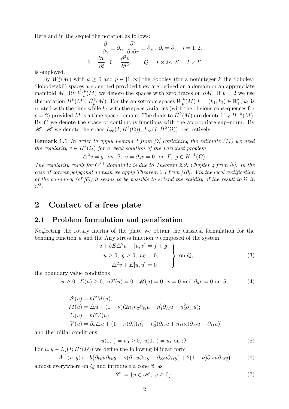Here and in the sequel the notation as follows:

$$
\frac{\partial}{\partial s} \equiv \partial_s, \frac{\partial^2}{\partial s \partial r} \equiv \partial_{sr}, \ \partial_i = \partial_{x_i}, \ i = 1, 2,
$$
  

$$
\dot{v} = \frac{\partial v}{\partial t}, \ \ddot{v} = \frac{\partial^2 v}{\partial t^2}, \qquad Q = I \times \Omega, \ S = I \times \Gamma.
$$

is employed.

By  $W_p^k(M)$  with  $k \geq 0$  and  $p \in [1,\infty]$  the Sobolev (for a noninteger k the Sobolev-Slobodetskii) spaces are denoted provided they are defined on a domain or an appropriate manifold M. By  $\mathring{W}_p^k(M)$  we denote the spaces with zero traces on  $\partial M$ . If  $p=2$  we use the notation  $H^k(M)$ ,  $\mathring{H}_p^k(M)$ . For the anisotropic spaces  $W_p^k(M)$   $k = (k_1, k_2) \in \mathbb{R}^2_+$ ,  $k_1$  is related with the time while  $k_2$  with the space variables (with the obvious consequences for  $p = 2$ ) provided M is a time-space domain. The duals to  $\mathring{H}^k(M)$  are denoted by  $H^{-k}(M)$ . By  $C$  we denote the space of continuous functions with the appropriate sup–norm. By  $\mathscr{H}, \mathscr{H}$  we denote the space  $L_{\infty}(I; H^2(\Omega)), L_{\infty}(I; H^2(\Omega)),$  respectively.

**Remark 1.1** In order to apply Lemma 1 from [7] containing the estimate (11) we need the regularity  $v \in H^3(\Omega)$  for a weak solution of the Dirichlet problem

 $\triangle^2 v = g$  on  $\Omega$ ,  $v = \partial_n v = 0$  on  $\Gamma$ ,  $g \in H^{-1}(\Omega)$ .

The regularity result for  $C^{3,1}$  domain  $\Omega$  is due to Theorem 2.2, Chapter 4 from [9]. In the case of convex polygonal domain we apply Theorem 2.1 from [10]. Via the local rectification of the boundary (cf [6]) it seems to be possible to extend the validity of the result to  $\Omega$  in  $C^2$ .

### 2 Contact of a free plate

#### 2.1 Problem formulation and penalization

Neglecting the rotary inertia of the plate we obtain the classical formulation for the bending function  $u$  and the Airy stress function  $v$  composed of the system

$$
\ddot{u} + bE\Delta^2 u - [u, v] = f + g,
$$
  
\n
$$
u \ge 0, g \ge 0, ug = 0,
$$
  
\n
$$
\Delta^2 v + E[u, u] = 0
$$
\n(3)

the boundary value conditions

$$
u \ge 0, \ \Sigma(u) \ge 0, \ u\Sigma(u) = 0, \ \mathscr{M}(u) = 0, \ v = 0 \text{ and } \partial_n v = 0 \text{ on } S,
$$
 (4)

$$
\mathcal{M}(u) = bEM(u), \nM(u) = \Delta u + (1 - \nu)(2n_1n_2\partial_{12}u - n_1^2\partial_{22}u - n_2^2\partial_{11}u); \n\Sigma(u) = bEV(u), \nV(u) = \partial_n \Delta u + (1 - \nu)\partial_\tau [(n_1^2 - n_2^2)\partial_{12}u + n_1n_2(\partial_{22}u - \partial_{11}u)]
$$

and the initial conditions

$$
u(0, \cdot) = u_0 \ge 0, \ \dot{u}(0, \cdot) = u_1 \text{ on } \Omega. \tag{5}
$$

For  $u, y \in L_2(I; H^2(\Omega))$  we define the following bilinear form

$$
A: (u, y) \mapsto b\big(\partial_{kk}u\partial_{kk}y + \nu(\partial_{11}u\partial_{22}y + \partial_{22}u\partial_{11}y) + 2(1-\nu)\partial_{12}u\partial_{12}y\big) \tag{6}
$$

almost everywhere on  $Q$  and introduce a cone  $\mathscr C$  as

$$
\mathscr{C} := \{ y \in \mathscr{H}; \ y \ge 0 \}. \tag{7}
$$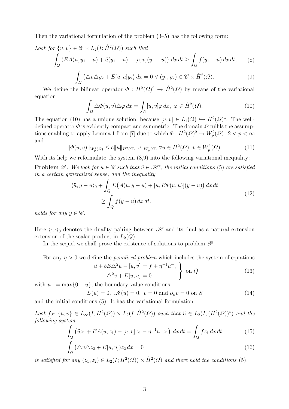Then the variational formulation of the problem  $(3-5)$  has the following form:

Look for 
$$
\{u, v\} \in \mathcal{C} \times L_2(I; \mathring{H}^2(\Omega))
$$
 such that  
\n
$$
\int_Q (EA(u, y_1 - u) + \ddot{u}(y_1 - u) - [u, v](y_1 - u)) dx dt \ge \int_Q f(y_1 - u) dx dt, \qquad (8)
$$
\n
$$
\int_{\Omega} (\triangle v \triangle y_2 + E[u, u]y_2) dx = 0 \ \forall \ (y_1, y_2) \in \mathcal{C} \times \mathring{H}^2(\Omega). \qquad (9)
$$

We define the bilinear operator  $\Phi: H^2(\Omega)^2 \to \mathring{H}^2(\Omega)$  by means of the variational equation

$$
\int_{\Omega} \Delta \Phi(u, v) \Delta \varphi \, dx = \int_{\Omega} [u, v] \varphi \, dx, \ \varphi \in \mathring{H}^{2}(\Omega). \tag{10}
$$

The equation (10) has a unique solution, because  $[u, v] \in L_1(\Omega) \hookrightarrow H^2(\Omega)^*$ . The welldefined operator  $\Phi$  is evidently compact and symmetric. The domain  $\Omega$  fulfils the assumptions enabling to apply Lemma 1 from [7] due to which  $\Phi: H^2(\Omega)^2 \to W^2_p(\Omega)$ ,  $2 < p < \infty$ and

$$
\|\Phi(u,v)\|_{W_p^2(\Omega)} \le c \|u\|_{H^2(\Omega)} \|v\|_{W_p^1(\Omega)} \,\,\forall u \in H^2(\Omega), \, v \in W_p^1(\Omega). \tag{11}
$$

With its help we reformulate the system  $(8,9)$  into the following variational inequality:

**Problem**  $\mathscr P$ . We look for  $u \in \mathscr C$  such that  $\ddot{u} \in \mathscr H^*$ , the initial conditions (5) are satisfied in a certain generalized sense, and the inequality

$$
\langle \ddot{u}, y - u \rangle_0 + \int_Q E\big(A(u, y - u) + [u, E\Phi(u, u)](y - u)\big) dx dt
$$
  
\n
$$
\geq \int_Q f(y - u) dx dt.
$$
\n(12)

holds for any  $y \in \mathscr{C}$ .

Here  $\langle \cdot, \cdot \rangle_0$  denotes the duality pairing between  $\mathcal{H}$  and its dual as a natural extension extension of the scalar product in  $L_2(Q)$ .

In the sequel we shall prove the existence of solutions to problem  $\mathscr{P}$ .

For any  $\eta > 0$  we define the *penalized problem* which includes the system of equations

$$
\ddot{u} + bE\Delta^2 u - [u, v] = f + \eta^{-1} u^-, \quad \Delta^2 v + E[u, u] = 0 \qquad (13)
$$

with  $u^- = \max\{0, -u\}$ , the boundary value conditions

$$
\Sigma(u) = 0, \ \mathscr{M}(u) = 0, \ v = 0 \text{ and } \partial_n v = 0 \text{ on } S \tag{14}
$$

and the initial conditions (5). It has the variational formulation:

Look for  $\{u, v\} \in L_{\infty}(I; H^2(\Omega)) \times L_2(I; \mathring{H}^2(\Omega))$  such that  $\ddot{u} \in L_2(I; (H^2(\Omega))^*)$  and the following system

$$
\int_{Q} \left( \ddot{u}z_{1} + EA(u, z_{1}) - [u, v] z_{1} - \eta^{-1} u^{-} z_{1} \right) dx dt = \int_{Q} fz_{1} dx dt, \tag{15}
$$

$$
\int_{\Omega} \left( \Delta v \Delta z_2 + E[u, u] \right) z_2 \, dx = 0 \tag{16}
$$

is satisfied for any  $(z_1, z_2) \in L_2(I; H^2(\Omega)) \times \mathring{H}^2(\Omega)$  and there hold the conditions (5).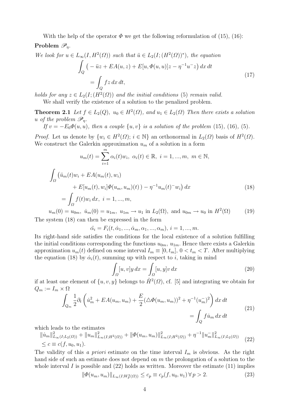With the help of the operator  $\Phi$  we get the following reformulation of (15), (16):

### Problem  $\mathscr{P}_n$ .

We look for 
$$
u \in L_{\infty}(I, H^2(\Omega))
$$
 such that  $\ddot{u} \in L_2(I; (H^2(\Omega))^*)$ , the equation  
\n
$$
\int_Q \left( -\ddot{u}z + EA(u, z) + E[u, \Phi(u, u)]z - \eta^{-1}u^{-}z \right) dx dt
$$
\n
$$
= \int_Q fz dx dt,
$$
\n(17)

holds for any  $z \in L_2(I; (H^2(\Omega))$  and the initial conditions (5) remain valid. We shall verify the existence of a solution to the penalized problem.

**Theorem 2.1** Let  $f \in L_2(Q)$ ,  $u_0 \in H^2(\Omega)$ , and  $u_1 \in L_2(\Omega)$  Then there exists a solution u of the problem  $\mathscr{P}_n$ .

If  $v = -E_0 \Phi(u, u)$ , then a couple  $\{u, v\}$  is a solution of the problem (15), (16), (5).

*Proof.* Let us denote by  $\{w_i \in H^2(\Omega) : i \in \mathbb{N}\}\$ an orthonormal in  $L_2(\Omega)$  basis of  $H^2(\Omega)$ . We construct the Galerkin approximation  $u_m$  of a solution in a form

$$
u_m(t) = \sum_{i=1}^m \alpha_i(t) w_i, \ \alpha_i(t) \in \mathbb{R}, \ i = 1, ..., m, \ m \in \mathbb{N},
$$

$$
\int_{\Omega} \left( \ddot{u}_m(t) w_i + EA(u_m(t), w_i) + E[u_m(t), w_i] \Phi(u_m, u_m)(t) \right) - \eta^{-1} u_m(t)^{-} w_i \right) dx
$$

$$
= \int_{\Omega} f(t) w_i \, dx, \ i = 1, ..., m,
$$
\n(2)

 $u_m(0) = u_{0m}, \dot{u}_m(0) = u_{1m}, \ u_{1m} \to u_1 \text{ in } L_2(\Omega), \text{ and } u_{0m} \to u_0 \text{ in } H^2(\Omega)$  (19) The system (18) can then be expressed in the form

$$
\ddot{\alpha_i} = F_i(t, \dot{\alpha}_1, ..., \dot{\alpha}_m, \alpha_1, ..., \alpha_m), \, i = 1, ..., m.
$$

Its right-hand side satisfies the conditions for the local existence of a solution fulfilling the initial conditions corresponding the functions  $u_{0m}$ ,  $u_{1m}$ . Hence there exists a Galerkin approximation  $u_m(t)$  defined on some interval  $I_m \equiv [0, t_m]$ ,  $0 < t_m < T$ . After multiplying the equation (18) by  $\dot{\alpha}_i(t)$ , summing up with respect to i, taking in mind

$$
\int_{\Omega} [u, v] y \, dx = \int_{\Omega} [u, y] v \, dx \tag{20}
$$

if at least one element of  $\{u, v, y\}$  belongs to  $\mathring{H}^2(\Omega)$ , cf. [5] and integrating we obtain for  $Q_m := I_m \times \Omega$ 

$$
\int_{Q_m} \frac{1}{2} \partial_t \left( \dot{u}_m^2 + EA(u_m, u_m) + \frac{E}{2} (\triangle \Phi(u_m, u_m))^2 + \eta^{-1} (u_m^{-})^2 \right) dx dt
$$
\n
$$
= \int_Q f \dot{u}_m dx dt
$$
\n(21)

which leads to the estimates

$$
\|u_m\|_{L_{\infty}(I;L_2(\Omega))}^2 + \|u_m\|_{L_{\infty}(I;H^2(\Omega))}^2 + \|\Phi(u_m, u_m)\|_{L_{\infty}(I;H^2(\Omega))}^2 + \eta^{-1} \|u_m\|_{L_{\infty}(I;L_2(\Omega))}^2 \tag{22}
$$
  

$$
\leq c \equiv c(f, u_0, u_1).
$$

The validity of this a priori estimate on the time interval  $I_m$  is obvious. As the right hand side of such an estimate does not depend on  $m$  the prolongation of a solution to the whole interval I is possible and  $(22)$  holds as written. Moreover the estimate  $(11)$  implies

$$
\|\Phi(u_m, u_m)\|_{L_\infty(I; W_p^2(\Omega))} \le c_p \equiv c_p(f, u_0, u_1) \,\forall \, p > 2. \tag{23}
$$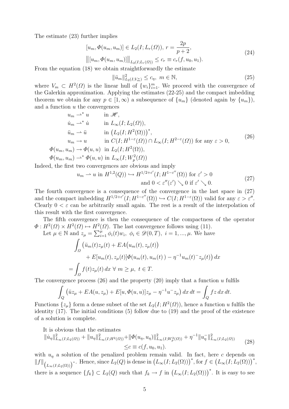The estimate (23) further implies

$$
[u_m, \Phi(u_m, u_m)] \in L_2(I; L_r(\Omega)), \ r = \frac{2p}{p+2},
$$
\n
$$
||u_m - \Phi(u_m, u_m)|| \leq \epsilon_m = \epsilon(f, u_m, u_m)
$$
\n(24)

 $\left\| [u_m, \Phi(u_m, u_m)] \right\|_{L_2(I; L_r(\Omega))} \leq c_r \equiv c_r(f, u_0, u_1).$ 

From the equation (18) we obtain straightforwardly the estimate

$$
\|\ddot{u}_m\|_{L_2(I;V_m^*)}^2 \le c_\eta, \ m \in \mathbb{N},\tag{25}
$$

where  $V_m \subset H^2(\Omega)$  is the linear hull of  $\{w_i\}_{i=1}^m$ . We proceed with the convergence of the Galerkin approximation. Applying the estimates (22-25) and the compact imbedding theorem we obtain for any  $p \in [1,\infty)$  a subsequence of  $\{u_m\}$  (denoted again by  $\{u_m\}$ ), and a function  $u$  the convergences

$$
u_m \rightharpoonup^* u \qquad \text{in } \mathcal{H},
$$
  
\n
$$
\dot{u}_m \rightharpoonup^* \dot{u} \qquad \text{in } L_\infty(I; L_2(\Omega)),
$$
  
\n
$$
\ddot{u}_m \rightharpoonup \ddot{u} \qquad \text{in } (L_2(I; H^2(\Omega)))^*,
$$
  
\n
$$
u_m \rightharpoonup u \qquad \text{in } C(I; H^{1-\varepsilon}(\Omega)) \cap L_\infty(I; H^{2-\varepsilon}(\Omega)) \text{ for any } \varepsilon > 0,
$$
  
\n
$$
\Phi(u_m, u_m) \rightharpoonup \Phi(u, u) \qquad \text{in } L_2(I; H^2(\Omega)),
$$
  
\n
$$
\Phi(u_m, u_m) \rightharpoonup^* \Phi(u, u) \qquad \text{in } L_\infty(I; W^2_p(\Omega))
$$
\n
$$
\vdots
$$
\n(26)

Indeed, the first two convergences are obvious and imply

$$
u_m \rightharpoonup u \text{ in } H^{1,2}(Q) \rightharpoonup H^{1/2+\varepsilon'}(I; H^{1-\varepsilon''}(\Omega)) \text{ for } \varepsilon' > 0
$$
  
and 
$$
0 < \varepsilon''(\varepsilon') \searrow 0 \text{ if } \varepsilon' \searrow 0.
$$
 (27)

The fourth convergence is a consequence of the convergence in the last space in (27) and the compact imbedding  $H^{1/2+\varepsilon'}(I; H^{1-\varepsilon''}(\Omega)) \hookrightarrow C(I; H^{1-\varepsilon}(\Omega))$  valid for any  $\varepsilon > \varepsilon''$ . Clearly  $0 < \varepsilon$  can be arbitrarily small again. The rest is a result of the interpolation of this result with the first convergence.

The fifth convergence is then the consequence of the compactness of the operator  $\Phi: H^2(\Omega) \times H^2(\Omega) \mapsto H^2(\Omega)$ . The last convergence follows using (11).

Let 
$$
\mu \in \mathbb{N}
$$
 and  $z_{\mu} = \sum_{i=1}^{\mu} \phi_i(t) w_i$ ,  $\phi_i \in \mathcal{D}(0, T)$ ,  $i = 1, ..., \mu$ . We have  
\n
$$
\int_{\Omega} \left( \ddot{u}_m(t) z_{\mu}(t) + EA(u_m(t), z_{\mu}(t)) + E[u_m(t), z_{\mu}(t)] \phi(u_m(t), u_m(t)) - \eta^{-1} u_m(t)^{-} z_{\mu}(t) \right) dx
$$

$$
= \int_{\Omega} f(t) z_{\mu}(t) dx \ \forall \ m \ge \mu, \ t \in T.
$$

The convergence process (26) and the property (20) imply that a function u fulfils

$$
\int_{Q} (\ddot{u}z_{\mu} + EA(u, z_{\mu}) + E[u, \Phi(u, u)]z_{\mu} - \eta^{-1}u^{-}z_{\mu}) dx dt = \int_{Q} fz dx dt.
$$

Functions  $\{z_{\mu}\}\$ form a dense subset of the set  $L_2(I; H^2(\Omega))$ , hence a function u fulfils the identity (17). The initial conditions (5) follow due to (19) and the proof of the existence of a solution is complete.

It is obvious that the estimates

$$
\| \dot{u}_{\eta} \|_{L_{\infty}(I;L_2(\Omega))}^2 + \| u_{\eta} \|_{L_{\infty}(I;H^2(\Omega))}^2 + \| \Phi(u_{\eta}, u_{\eta}) \|_{L_{\infty}(I;W_p^2(\Omega))}^2 + \eta^{-1} \| u_{\eta}^- \|_{L_{\infty}(I;L_2(\Omega))}^2
$$
\n
$$
\leq c \equiv c(f, u_0, u_1).
$$
\n(28)

with  $u<sub>\eta</sub>$  a solution of the penalized problem remain valid. In fact, here c depends on  $||f||_{(L_{\infty}(I;L_2(\Omega)))}$ <sup>\*</sup>. Hence, since  $L_2(Q)$  is dense in  $(L_{\infty}(I;L_2(\Omega)))$ <sup>\*</sup>, for  $f \in (L_{\infty}(I;L_2(\Omega)))$ <sup>\*</sup>, there is a sequence  $\{f_k\} \subset L_2(Q)$  such that  $f_k \to f$  in  $(L_\infty(I; L_2(\Omega)))^*$ . It is easy to see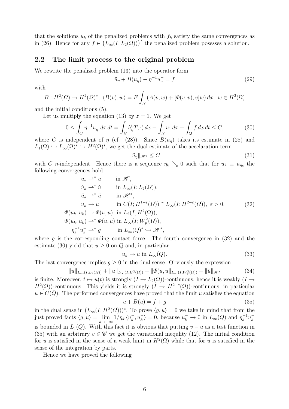that the solutions  $u_k$  of the penalized problems with  $f_k$  satisfy the same convergences as in (26). Hence for any  $f \in (L_{\infty}(I; L_2(\Omega)))^*$  the penalized problem posesses a solution.

#### 2.2 The limit process to the original problem

We rewrite the penalized problem (13) into the operator form

$$
\ddot{u}_{\eta} + B(u_{\eta}) - \eta^{-1}u_{\eta} = f \tag{29}
$$

with

$$
B: H^{2}(\Omega) \to H^{2}(\Omega)^{*}, \ \langle B(v), w \rangle = E \int_{\Omega} (A(v, w) + [\Phi(v, v), v]w) dx, \ w \in H^{2}(\Omega)
$$

and the initial conditions (5).

Let us multiply the equation (13) by  $z = 1$ . We get

$$
0 \le \int_Q \eta^{-1} u_\eta^- dx dt = \int_\Omega \dot{u}_\eta^{\prime}(T, \cdot) dx - \int_\Omega u_1 dx - \int_Q f dx dt \le C,\tag{30}
$$

where C is independent of  $\eta$  (cf. (28)). Since  $B(u_{\eta})$  takes its estimate in (28) and  $L_1(\Omega) \hookrightarrow L_{\infty}(\Omega)^* \hookrightarrow H^2(\Omega)^*$ , we get the dual estimate of the accelaration term

$$
\|\ddot{u}_{\eta}\|_{\mathscr{H}^*} \le C \tag{31}
$$

with C  $\eta$ -independent. Hence there is a sequence  $\eta_k \searrow 0$  such that for  $u_k \equiv u_{\eta_k}$  the following convergences hold

$$
u_k \rightharpoonup^* u \qquad \text{in } \mathcal{H},
$$
  
\n
$$
\dot{u}_k \rightharpoonup^* \dot{u} \qquad \text{in } L_\infty(I; L_2(\Omega)),
$$
  
\n
$$
\ddot{u}_k \rightharpoonup^* \ddot{u} \qquad \text{in } \mathcal{H}^*,
$$
  
\n
$$
u_k \rightharpoonup u \qquad \text{in } C(I; H^{1-\varepsilon}(\Omega)) \cap L_\infty(I; H^{2-\varepsilon}(\Omega)), \varepsilon > 0,
$$
  
\n
$$
\Phi(u_k, u_k) \to \Phi(u, u) \qquad \text{in } L_2(I, H^2(\Omega)),
$$
  
\n
$$
\Phi(u_k, u_k) \rightharpoonup^* \Phi(u, u) \qquad \text{in } L_\infty(I; W_p^2(\Omega)),
$$
  
\n
$$
\eta_k^{-1} u_k^{-} \rightharpoonup^* g \qquad \text{in } L_\infty(Q)^* \rightharpoonup^* \mathcal{H}^*,
$$
  
\n(32)

where q is the corresponding contact force. The fourth convergence in  $(32)$  and the estimate (30) yield that  $u \geq 0$  on Q and, in particular

$$
u_k \to u \text{ in } L_\infty(Q). \tag{33}
$$

The last convergence implies  $g \geq 0$  in the dual sense. Obviously the expression

$$
\| \dot{u} \|_{L_{\infty}(I; L_2(\Omega))} + \| u \|_{L_{\infty}(I; H^2(\Omega))} + \| \varPhi(u, u \|_{L_{\infty}(I; W^2_p(\Omega))} + \| \ddot{u} \|_{\mathcal{H}^*}
$$
(34)

is finite. Moreover,  $t \mapsto u(t)$  is strongly  $(I \to L_2(\Omega))$ -continuous, hence it is weakly  $(I \to$  $H^2(\Omega)$ -continuous. This yields it is strongly  $(I \to H^{2-\epsilon}(\Omega))$ -continuous, in particular  $u \in C(\overline{Q})$ . The performed convergences have proved that the limit u satisfies the equation  $\ddot{u} + B(u) = f + q$  (35)

in the dual sense in  $(L_{\infty}(I; H^2(\Omega)))^*$ . To prove  $\langle g, u \rangle = 0$  we take in mind that from the just proved facts  $\langle g, u \rangle = \lim_{k \to +\infty} 1/\eta_k \langle u_k^ \langle k, u_k^- \rangle = 0$ , because  $u_k^- \to 0$  in  $L_\infty(Q)$  and  $\eta_k^{-1}$  $y_k^{-1}u_k^$ k is bounded in  $L_1(Q)$ . With this fact it is obvious that putting  $v - u$  as a test function in (35) with an arbitrary  $v \in \mathscr{C}$  we get the variational inequlity (12). The initial condition for u is satisfied in the sense of a weak limit in  $H^2(\Omega)$  while that for u is satisfied in the sense of the integration by parts.

Hence we have proved the following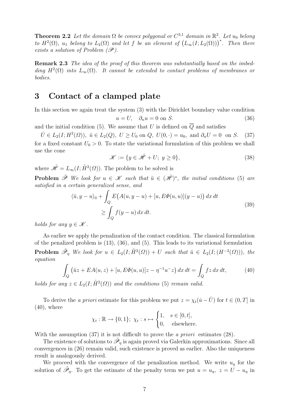**Theorem 2.2** Let the domain  $\Omega$  be convex polygonal or  $C^{3,1}$  domain in  $\mathbb{R}^2$ . Let  $u_0$  belong to  $H^2(\Omega)$ ,  $u_1$  belong to  $L_2(\Omega)$  and let f be an element of  $(L_\infty(I; L_2(\Omega)))^*$ . Then there exists a solution of Problem  $(\mathscr{P})$ .

**Remark 2.3** The idea of the proof of this theorem was substantially based on the imbedding  $H^2(\Omega)$  into  $L_\infty(\Omega)$ . It cannot be extended to contact problems of membranes or bodies.

### 3 Contact of a clamped plate

In this section we again treat the system (3) with the Dirichlet boundary value condition  $u = U, \quad \partial_n u = 0 \text{ on } S.$  (36)

and the initial condition (5). We assume that U is defined on  $\overline{Q}$  and satisfies

 $\dot{U} \in L_2(I; H^2(\Omega)), \; \ddot{u} \in L_2(Q), \; U \ge U_0 \text{ on } Q, \; U(0, \cdot) = u_0, \text{ and } \partial_n U = 0 \text{ on } S.$  (37) for a fixed constant  $U_0 > 0$ . To state the variational formulation of this problem we shall use the cone

$$
\mathcal{K} := \{ y \in \mathcal{H} + U; \ y \ge 0 \},\tag{38}
$$

where  $\mathring{\mathscr{H}} = L_{\infty}(I; \mathring{H}^2(\Omega)).$  The problem to be solved is

**Problem**  $\tilde{\mathcal{P}}$  We look for  $u \in \mathcal{K}$  such that  $\ddot{u} \in (\dot{\mathcal{H}})^*$ , the initial conditions (5) are satisfied in a certain generalized sense, and

$$
\langle \ddot{u}, y - u \rangle_0 + \int_Q E\big(A(u, y - u) + [u, E\Phi(u, u)](y - u)\big) dx dt
$$
  
 
$$
\geq \int_Q f(y - u) dx dt.
$$
 (39)

holds for any  $y \in \mathcal{K}$ .

As earlier we apply the penalization of the contact condition. The classical formulation of the penalized problem is (13), (36), and (5). This leads to its variational formulation **Problem**  $\tilde{\mathcal{P}}_{\eta}$  We look for  $u \in L_2(I; \mathring{H}^2(\Omega)) + U$  such that  $\ddot{u} \in L_2(I; (H^{-2}(\Omega)))$ , the equation

$$
\int_{Q} \left( \ddot{u}z + EA(u, z) + [u, E\Phi(u, u)]z - \eta^{-1}u^{-}z \right) dx dt = \int_{Q} fz \, dx \, dt,\tag{40}
$$

holds for any  $z \in L_2(I; \mathring{H}^2(\Omega))$  and the conditions (5) remain valid.

To derive the a priori estimate for this problem we put  $z = \chi_t(\dot{u} - \dot{U})$  for  $t \in (0, T]$  in  $(40)$ , where

$$
\chi_t : \mathbb{R} \to \{0, 1\}; \ \chi_t : s \mapsto \begin{cases} 1, & s \in [0, t], \\ 0, & \text{elsewhere.} \end{cases}
$$

With the assumption (37) it is not difficult to prove the *a priori* estimates (28).

The existence of solutions to  $\tilde{\mathcal{P}}_{\eta}$  is again proved via Galerkin approximations. Since all convergences in (26) remain valid, such existence is proved as earlier. Also the uniqueness result is analogously derived.

We proceed with the convergence of the penalization method. We write  $u<sub>\eta</sub>$  for the solution of  $\tilde{\mathscr{P}}_{\eta}$ . To get the estimate of the penalty term we put  $u = u_{\eta}$ ,  $z = U - u_{\eta}$  in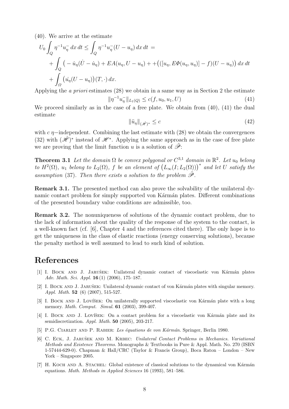(40). We arrive at the estimate

$$
U_0 \int_Q \eta^{-1} u_\eta^- dx dt \le \int_Q \eta^{-1} u_\eta^-(U - u_\eta) dx dt =
$$
  
+ 
$$
\int_Q \left( -\dot{u}_\eta (\dot{U} - \dot{u}_\eta) + EA(u_\eta, U - u_\eta) + + \left( ([u_\eta, E\Phi(u_\eta, u_\eta)] - f)(U - u_\eta) \right) dx dt
$$
  
+ 
$$
\int_\Omega \left( \dot{u}_\eta (U - u_\eta) \right) (T, \cdot) dx.
$$

Applying the a priori estimates (28) we obtain in a same way as in Section 2 the estimate

$$
\|\eta^{-1}u_{\eta}^{-}\|_{L_{1}(Q)} \leq c(f, u_{0}, u_{1}, U) \tag{41}
$$

We proceed similarly as in the case of a free plate. We obtain from  $(40)$ ,  $(41)$  the dual estimate

$$
\|\ddot{u}_{\eta}\|_{(\dot{\mathscr{H}})^*} \leq c \tag{42}
$$

with c  $\eta$ −independent. Combining the last estimate with (28) we obtain the convergences (32) with  $(\hat{\mathcal{H}})^*$  instead of  $\mathcal{H}^*$ . Applying the same approach as in the case of free plate we are proving that the limit function u is a solution of  $\tilde{\mathscr{P}}$ :

**Theorem 3.1** Let the domain  $\Omega$  be convex polygonal or  $C^{3,1}$  domain in  $\mathbb{R}^2$ . Let  $u_0$  belong to  $H^2(\Omega)$ ,  $u_1$  belong to  $L_2(\Omega)$ , f be an element of  $(L_\infty(I;L_2(\Omega)))^*$  and let U satisfy the assumption (37). Then there exists a solution to the problem  $\tilde{\mathcal{P}}$ .

Remark 3.1. The presented method can also prove the solvability of the unilateral dynamic contact problem for simply supported von Kármán plates. Different combinations of the presented boundary value conditions are admissible, too.

Remark 3.2. The nonuniqueness of solutions of the dynamic contact problem, due to the lack of information about the quality of the response of the system to the contact, is a well-known fact (cf. [6], Chapter 4 and the references cited there). The only hope is to get the uniqueness in the class of elastic reactions (energy conserving solutions), because the penalty method is well assumed to lead to such kind of solution.

## References

- [1] I. BOCK AND J. JARUŠEK: Unilateral dynamic contact of viscoelastic von Kármán plates Adv. Math. Sci. Appl. 16 (1) (2006), 175–187.
- [2] I. BOCK AND J. JARUŠEK: Unilateral dynamic contact of von Kármán plates with singular memory. Appl. Math. **52** (6) (2007), 515-527.
- [3] I. BOCK AND J. LOVIŠEK: On unilaterally supported viscoelastic von Kármán plate with a long memory. *Math. Comput. Simul.* **61** (2003), 399-407.
- [4] I. BOCK AND J. LOVÍŠEK: On a contact problem for a viscoelastic von Kármán plate and its semidiscretization.  $Appl. Math. 50 (2005), 203-217.$
- [5] P.G. CIARLET AND P. RABIER: Les équations de von Kármán. Springer, Berlin 1980.
- [6] C. ECK, J. JARUŠEK AND M. KRBEC: Unilateral Contact Problems in Mechanics. Variational Methods and Existence Theorems. Monographs & Textbooks in Pure & Appl. Math. No. 270 (ISBN 1-57444-629-0). Chapman & Hall/CRC (Taylor & Francis Group), Boca Raton – London – New York – Singapore 2005.
- [7] H. KOCH AND A. STACHEL: Global existence of classical solutions to the dynamical von Kármán equations. Math. Methods in Applied Sciences 16 (1993), 581–586.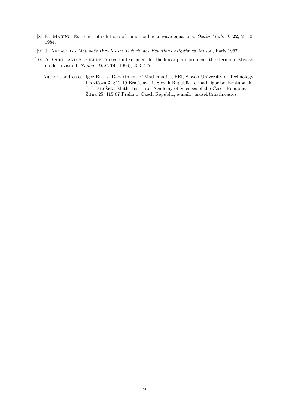- [8] K. MARUO: Existence of solutions of some nonlinear wave equations. Osaka Math. J. 22, 21–30, 1984.
- [9] J. NEČAS: Les Méthodés Directes en Théorie des Equations Elliptiques. Mason, Paris 1967.
- [10] A. Oukit and R. Pierre: Mixed finite element for the linear plate problem: the Hermann-Miyoshi model revisited. Numer. Math.74 (1996), 453–477.

Author's addresses: Igor Bock: Department of Mathematics, FEI, Slovak University of Technology, Ilkovičova 3, 812 19 Bratislava 1, Slovak Republic; e-mail: igor.bock@stuba.sk Jiří Jarušek: Math. Institute, Academy of Sciences of the Czech Republic, Žitná 25, 115 67 Praha 1, Czech Republic; e-mail: jarusek@math.cas.cz